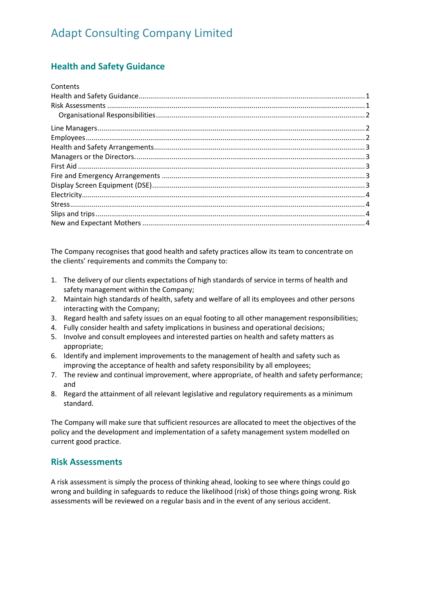## <span id="page-0-0"></span>**Health and Safety Guidance**

| Contents |  |
|----------|--|
|          |  |
|          |  |
|          |  |
|          |  |
|          |  |
|          |  |
|          |  |
|          |  |
|          |  |
|          |  |
|          |  |
|          |  |
|          |  |
|          |  |

The Company recognises that good health and safety practices allow its team to concentrate on the clients' requirements and commits the Company to:

- 1. The delivery of our clients expectations of high standards of service in terms of health and safety management within the Company;
- 2. Maintain high standards of health, safety and welfare of all its employees and other persons interacting with the Company;
- 3. Regard health and safety issues on an equal footing to all other management responsibilities;
- 4. Fully consider health and safety implications in business and operational decisions;
- 5. Involve and consult employees and interested parties on health and safety matters as appropriate;
- 6. Identify and implement improvements to the management of health and safety such as improving the acceptance of health and safety responsibility by all employees;
- 7. The review and continual improvement, where appropriate, of health and safety performance; and
- 8. Regard the attainment of all relevant legislative and regulatory requirements as a minimum standard.

The Company will make sure that sufficient resources are allocated to meet the objectives of the policy and the development and implementation of a safety management system modelled on current good practice.

#### <span id="page-0-1"></span>**Risk Assessments**

A risk assessment is simply the process of thinking ahead, looking to see where things could go wrong and building in safeguards to reduce the likelihood (risk) of those things going wrong. Risk assessments will be reviewed on a regular basis and in the event of any serious accident.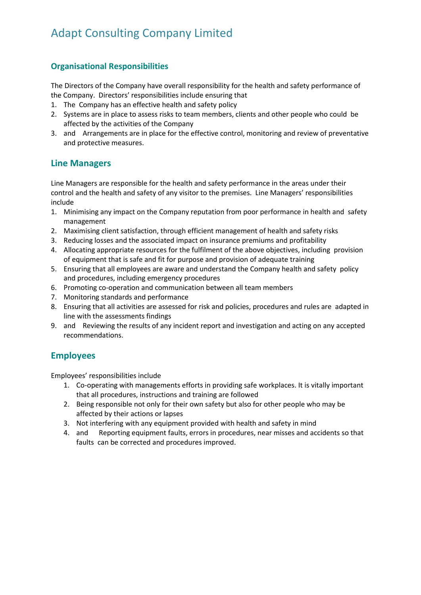#### <span id="page-1-0"></span>**Organisational Responsibilities**

The Directors of the Company have overall responsibility for the health and safety performance of the Company. Directors' responsibilities include ensuring that

- 1. The Company has an effective health and safety policy
- 2. Systems are in place to assess risks to team members, clients and other people who could be affected by the activities of the Company
- 3. and Arrangements are in place for the effective control, monitoring and review of preventative and protective measures.

#### <span id="page-1-1"></span>**Line Managers**

Line Managers are responsible for the health and safety performance in the areas under their control and the health and safety of any visitor to the premises. Line Managers' responsibilities include

- 1. Minimising any impact on the Company reputation from poor performance in health and safety management
- 2. Maximising client satisfaction, through efficient management of health and safety risks
- 3. Reducing losses and the associated impact on insurance premiums and profitability
- 4. Allocating appropriate resources for the fulfilment of the above objectives, including provision of equipment that is safe and fit for purpose and provision of adequate training
- 5. Ensuring that all employees are aware and understand the Company health and safety policy and procedures, including emergency procedures
- 6. Promoting co-operation and communication between all team members
- 7. Monitoring standards and performance
- 8. Ensuring that all activities are assessed for risk and policies, procedures and rules are adapted in line with the assessments findings
- 9. and Reviewing the results of any incident report and investigation and acting on any accepted recommendations.

#### <span id="page-1-2"></span>**Employees**

Employees' responsibilities include

- 1. Co-operating with managements efforts in providing safe workplaces. It is vitally important that all procedures, instructions and training are followed
- 2. Being responsible not only for their own safety but also for other people who may be affected by their actions or lapses
- 3. Not interfering with any equipment provided with health and safety in mind
- 4. and Reporting equipment faults, errors in procedures, near misses and accidents so that faults can be corrected and procedures improved.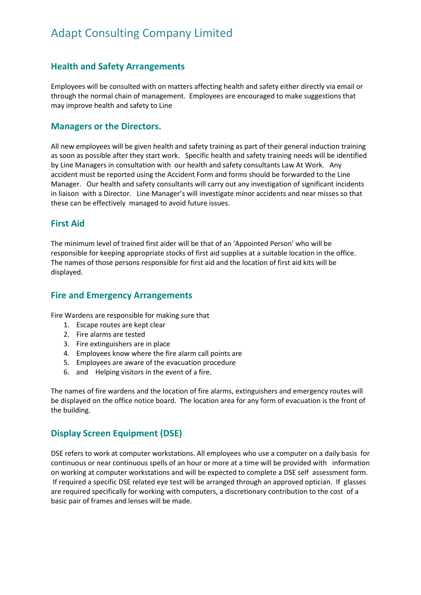#### <span id="page-2-0"></span>**Health and Safety Arrangements**

Employees will be consulted with on matters affecting health and safety either directly via email or through the normal chain of management. Employees are encouraged to make suggestions that may improve health and safety to Line

#### <span id="page-2-1"></span>**Managers or the Directors.**

All new employees will be given health and safety training as part of their general induction training as soon as possible after they start work. Specific health and safety training needs will be identified by Line Managers in consultation with our health and safety consultants Law At Work. Any accident must be reported using the Accident Form and forms should be forwarded to the Line Manager. Our health and safety consultants will carry out any investigation of significant incidents in liaison with a Director. Line Manager's will investigate minor accidents and near misses so that these can be effectively managed to avoid future issues.

#### <span id="page-2-2"></span>**First Aid**

The minimum level of trained first aider will be that of an 'Appointed Person' who will be responsible for keeping appropriate stocks of first aid supplies at a suitable location in the office. The names of those persons responsible for first aid and the location of first aid kits will be displayed.

#### <span id="page-2-3"></span>**Fire and Emergency Arrangements**

Fire Wardens are responsible for making sure that

- 1. Escape routes are kept clear
- 2. Fire alarms are tested
- 3. Fire extinguishers are in place
- 4. Employees know where the fire alarm call points are
- 5. Employees are aware of the evacuation procedure
- 6. and Helping visitors in the event of a fire.

The names of fire wardens and the location of fire alarms, extinguishers and emergency routes will be displayed on the office notice board. The location area for any form of evacuation is the front of the building.

## <span id="page-2-4"></span>**Display Screen Equipment (DSE)**

DSE refers to work at computer workstations. All employees who use a computer on a daily basis for continuous or near continuous spells of an hour or more at a time will be provided with information on working at computer workstations and will be expected to complete a DSE self assessment form. If required a specific DSE related eye test will be arranged through an approved optician. If glasses are required specifically for working with computers, a discretionary contribution to the cost of a basic pair of frames and lenses will be made.